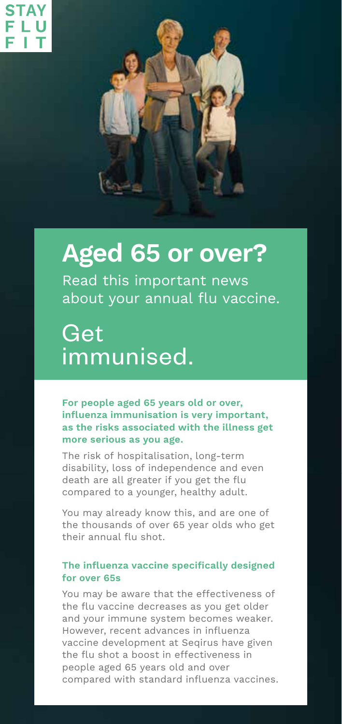

# **Aged 65 or over?**

Read this important news about your annual flu vaccine.

Get immunised.

**For people aged 65 years old or over, influenza immunisation is very important, as the risks associated with the illness get more serious as you age.** 

The risk of hospitalisation, long-term disability, loss of independence and even death are all greater if you get the flu compared to a younger, healthy adult.

You may already know this, and are one of the thousands of over 65 year olds who get their annual flu shot.

#### **The influenza vaccine specifically designed for over 65s**

You may be aware that the effectiveness of the flu vaccine decreases as you get older and your immune system becomes weaker. However, recent advances in influenza vaccine development at Seqirus have given the flu shot a boost in effectiveness in people aged 65 years old and over compared with standard influenza vaccines.